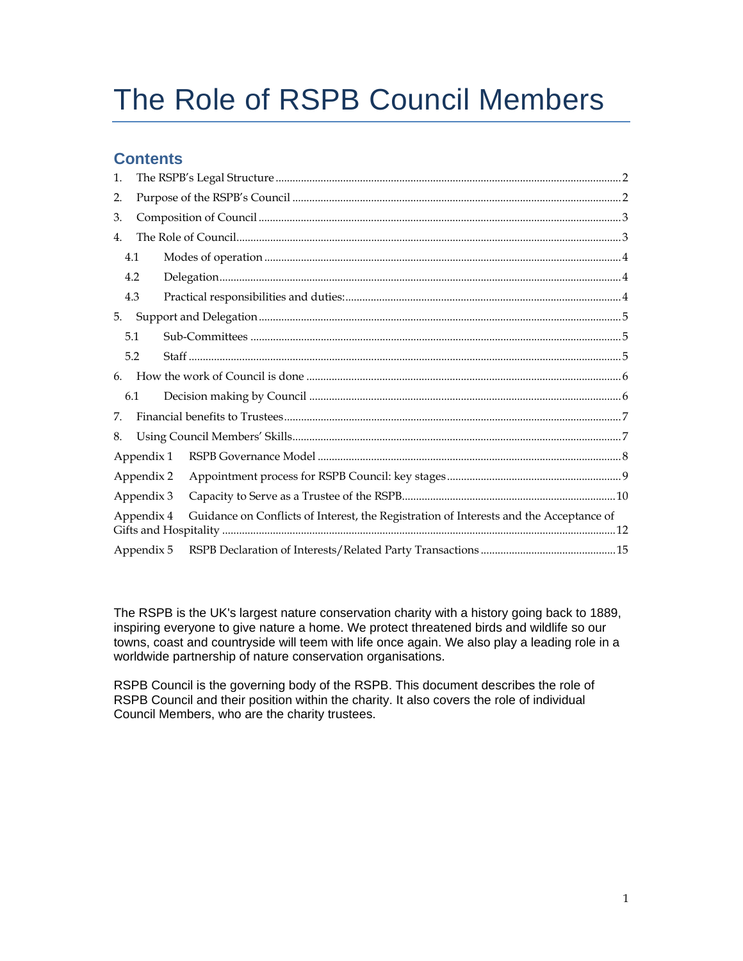# The Role of RSPB Council Members

# **Contents**

| 1.         |     |                                                                                        |  |  |  |  |  |
|------------|-----|----------------------------------------------------------------------------------------|--|--|--|--|--|
| 2.         |     |                                                                                        |  |  |  |  |  |
| 3.         |     |                                                                                        |  |  |  |  |  |
| 4.         |     |                                                                                        |  |  |  |  |  |
|            | 4.1 |                                                                                        |  |  |  |  |  |
|            | 4.2 |                                                                                        |  |  |  |  |  |
|            | 4.3 |                                                                                        |  |  |  |  |  |
| 5.         |     |                                                                                        |  |  |  |  |  |
|            | 5.1 |                                                                                        |  |  |  |  |  |
| 5.2        |     |                                                                                        |  |  |  |  |  |
| 6.         |     |                                                                                        |  |  |  |  |  |
|            | 6.1 |                                                                                        |  |  |  |  |  |
| 7.         |     |                                                                                        |  |  |  |  |  |
| 8.         |     |                                                                                        |  |  |  |  |  |
| Appendix 1 |     |                                                                                        |  |  |  |  |  |
| Appendix 2 |     |                                                                                        |  |  |  |  |  |
| Appendix 3 |     |                                                                                        |  |  |  |  |  |
| Appendix 4 |     | Guidance on Conflicts of Interest, the Registration of Interests and the Acceptance of |  |  |  |  |  |
| Appendix 5 |     |                                                                                        |  |  |  |  |  |

The RSPB is the UK's largest nature conservation charity with a history going back to 1889, inspiring everyone to give nature a home. We protect threatened birds and wildlife so our towns, coast and countryside will teem with life once again. We also play a leading role in a worldwide partnership of nature conservation organisations.

RSPB Council is the governing body of the RSPB. This document describes the role of RSPB Council and their position within the charity. It also covers the role of individual Council Members, who are the charity trustees.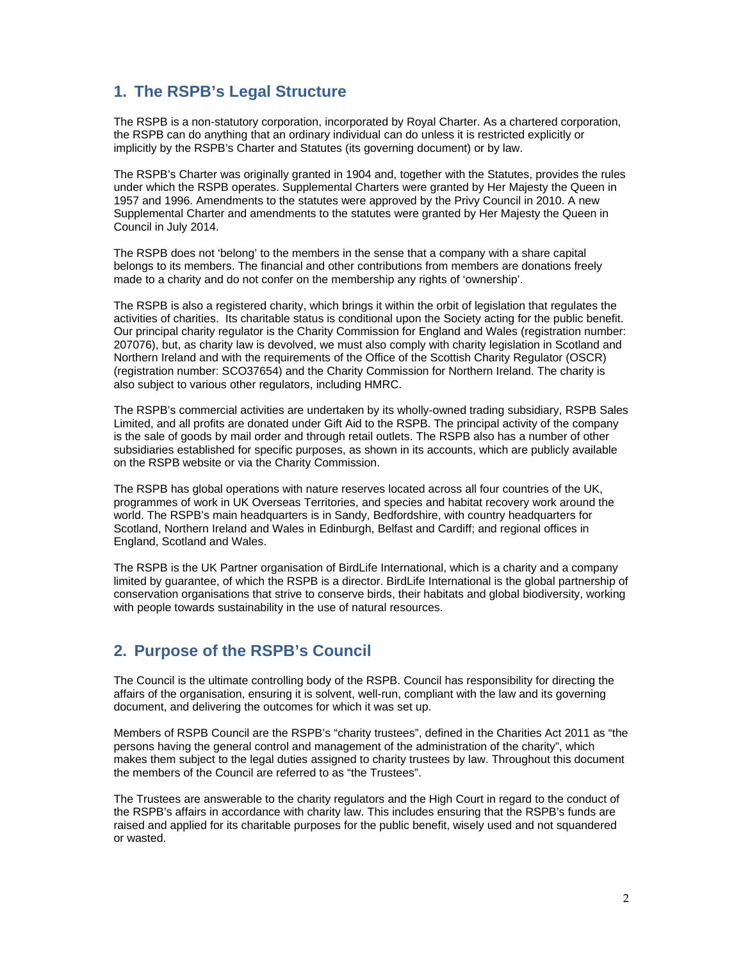# **1. The RSPB's Legal Structure**

The RSPB is a non-statutory corporation, incorporated by Royal Charter. As a chartered corporation, the RSPB can do anything that an ordinary individual can do unless it is restricted explicitly or implicitly by the RSPB's Charter and Statutes (its governing document) or by law.

The RSPB's Charter was originally granted in 1904 and, together with the Statutes, provides the rules under which the RSPB operates. Supplemental Charters were granted by Her Majesty the Queen in 1957 and 1996. Amendments to the statutes were approved by the Privy Council in 2010. A new Supplemental Charter and amendments to the statutes were granted by Her Majesty the Queen in Council in July 2014.

The RSPB does not 'belong' to the members in the sense that a company with a share capital belongs to its members. The financial and other contributions from members are donations freely made to a charity and do not confer on the membership any rights of 'ownership'.

The RSPB is also a registered charity, which brings it within the orbit of legislation that regulates the activities of charities. Its charitable status is conditional upon the Society acting for the public benefit. Our principal charity regulator is the Charity Commission for England and Wales (registration number: 207076), but, as charity law is devolved, we must also comply with charity legislation in Scotland and Northern Ireland and with the requirements of the Office of the Scottish Charity Regulator (OSCR) (registration number: SCO37654) and the Charity Commission for Northern Ireland. The charity is also subject to various other regulators, including HMRC.

The RSPB's commercial activities are undertaken by its wholly-owned trading subsidiary, RSPB Sales Limited, and all profits are donated under Gift Aid to the RSPB. The principal activity of the company is the sale of goods by mail order and through retail outlets. The RSPB also has a number of other subsidiaries established for specific purposes, as shown in its accounts, which are publicly available on the RSPB website or via the Charity Commission.

The RSPB has global operations with nature reserves located across all four countries of the UK, programmes of work in UK Overseas Territories, and species and habitat recovery work around the world. The RSPB's main headquarters is in Sandy, Bedfordshire, with country headquarters for Scotland, Northern Ireland and Wales in Edinburgh, Belfast and Cardiff; and regional offices in England, Scotland and Wales.

The RSPB is the UK Partner organisation of BirdLife International, which is a charity and a company limited by guarantee, of which the RSPB is a director. BirdLife International is the global partnership of conservation organisations that strive to conserve birds, their habitats and global biodiversity, working with people towards sustainability in the use of natural resources.

# **2. Purpose of the RSPB's Council**

The Council is the ultimate controlling body of the RSPB. Council has responsibility for directing the affairs of the organisation, ensuring it is solvent, well-run, compliant with the law and its governing document, and delivering the outcomes for which it was set up.

Members of RSPB Council are the RSPB's "charity trustees", defined in the Charities Act 2011 as "the persons having the general control and management of the administration of the charity", which makes them subject to the legal duties assigned to charity trustees by law. Throughout this document the members of the Council are referred to as "the Trustees".

The Trustees are answerable to the charity regulators and the High Court in regard to the conduct of the RSPB's affairs in accordance with charity law. This includes ensuring that the RSPB's funds are raised and applied for its charitable purposes for the public benefit, wisely used and not squandered or wasted.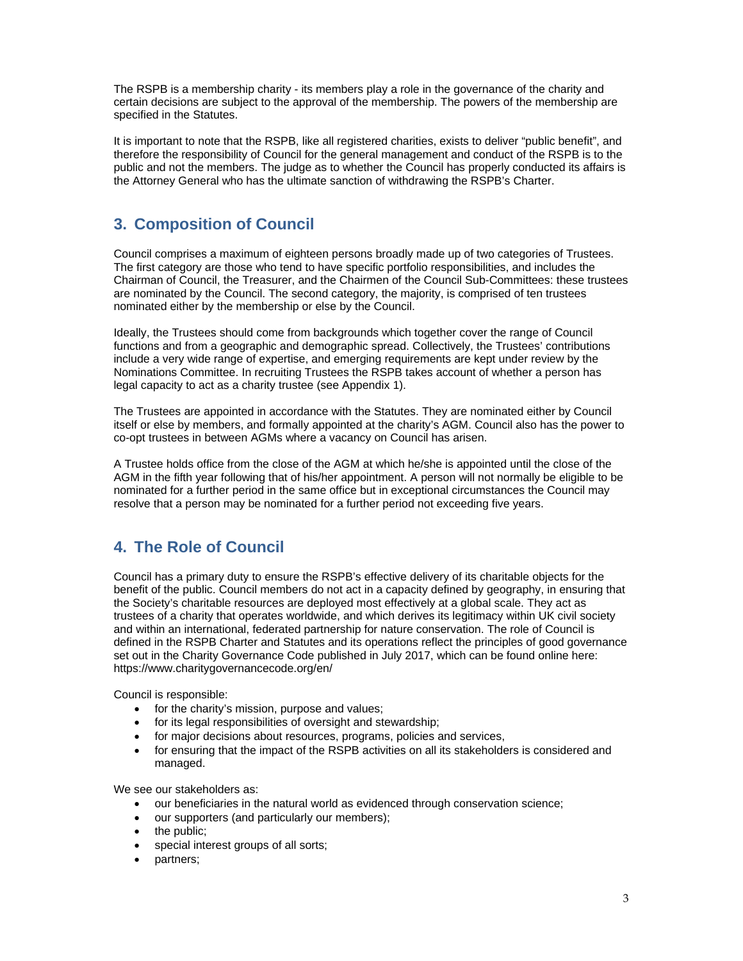The RSPB is a membership charity - its members play a role in the governance of the charity and certain decisions are subject to the approval of the membership. The powers of the membership are specified in the Statutes.

It is important to note that the RSPB, like all registered charities, exists to deliver "public benefit", and therefore the responsibility of Council for the general management and conduct of the RSPB is to the public and not the members. The judge as to whether the Council has properly conducted its affairs is the Attorney General who has the ultimate sanction of withdrawing the RSPB's Charter.

# **3. Composition of Council**

Council comprises a maximum of eighteen persons broadly made up of two categories of Trustees. The first category are those who tend to have specific portfolio responsibilities, and includes the Chairman of Council, the Treasurer, and the Chairmen of the Council Sub-Committees: these trustees are nominated by the Council. The second category, the majority, is comprised of ten trustees nominated either by the membership or else by the Council.

Ideally, the Trustees should come from backgrounds which together cover the range of Council functions and from a geographic and demographic spread. Collectively, the Trustees' contributions include a very wide range of expertise, and emerging requirements are kept under review by the Nominations Committee. In recruiting Trustees the RSPB takes account of whether a person has legal capacity to act as a charity trustee (see Appendix 1).

The Trustees are appointed in accordance with the Statutes. They are nominated either by Council itself or else by members, and formally appointed at the charity's AGM. Council also has the power to co-opt trustees in between AGMs where a vacancy on Council has arisen.

A Trustee holds office from the close of the AGM at which he/she is appointed until the close of the AGM in the fifth year following that of his/her appointment. A person will not normally be eligible to be nominated for a further period in the same office but in exceptional circumstances the Council may resolve that a person may be nominated for a further period not exceeding five years.

# **4. The Role of Council**

Council has a primary duty to ensure the RSPB's effective delivery of its charitable objects for the benefit of the public. Council members do not act in a capacity defined by geography, in ensuring that the Society's charitable resources are deployed most effectively at a global scale. They act as trustees of a charity that operates worldwide, and which derives its legitimacy within UK civil society and within an international, federated partnership for nature conservation. The role of Council is defined in the RSPB Charter and Statutes and its operations reflect the principles of good governance set out in the Charity Governance Code published in July 2017, which can be found online here: https://www.charitygovernancecode.org/en/

Council is responsible:

- for the charity's mission, purpose and values;
- for its legal responsibilities of oversight and stewardship;
- for major decisions about resources, programs, policies and services,
- for ensuring that the impact of the RSPB activities on all its stakeholders is considered and managed.

We see our stakeholders as:

- our beneficiaries in the natural world as evidenced through conservation science;
- our supporters (and particularly our members);
- the public:
- special interest groups of all sorts;
- partners;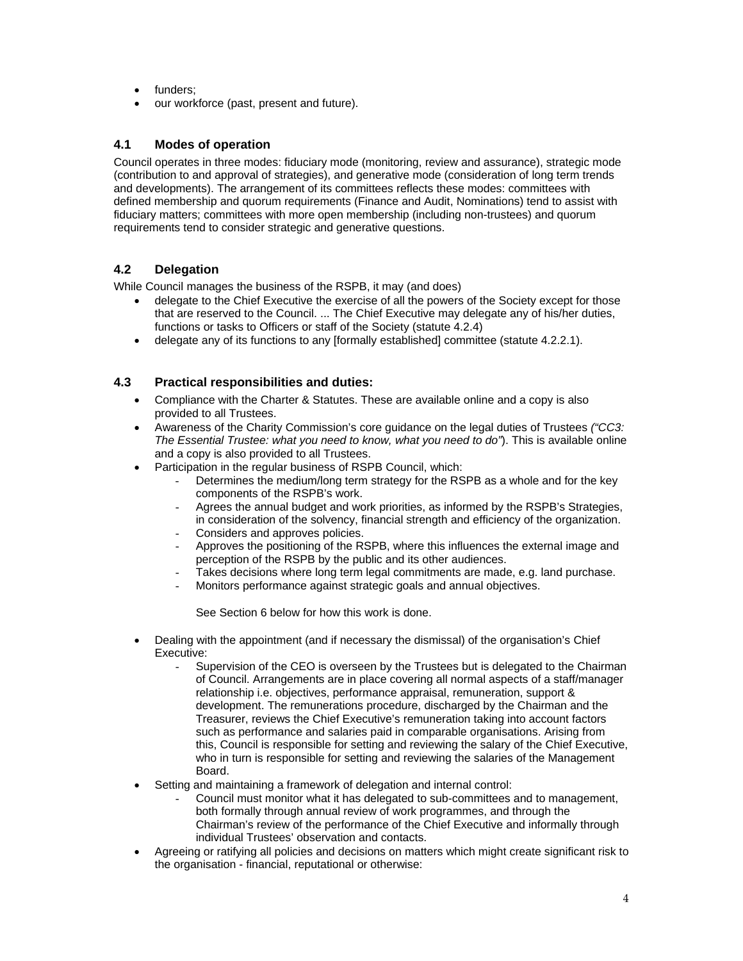- funders:
- our workforce (past, present and future).

## **4.1 Modes of operation**

Council operates in three modes: fiduciary mode (monitoring, review and assurance), strategic mode (contribution to and approval of strategies), and generative mode (consideration of long term trends and developments). The arrangement of its committees reflects these modes: committees with defined membership and quorum requirements (Finance and Audit, Nominations) tend to assist with fiduciary matters; committees with more open membership (including non-trustees) and quorum requirements tend to consider strategic and generative questions.

## **4.2 Delegation**

While Council manages the business of the RSPB, it may (and does)

- delegate to the Chief Executive the exercise of all the powers of the Society except for those that are reserved to the Council. ... The Chief Executive may delegate any of his/her duties, functions or tasks to Officers or staff of the Society (statute 4.2.4)
- delegate any of its functions to any [formally established] committee (statute 4.2.2.1).

## **4.3 Practical responsibilities and duties:**

- Compliance with the Charter & Statutes. These are available online and a copy is also provided to all Trustees.
- Awareness of the Charity Commission's core guidance on the legal duties of Trustees *("CC3: The Essential Trustee: what you need to know, what you need to do"*). This is available online and a copy is also provided to all Trustees.
- Participation in the regular business of RSPB Council, which:
	- Determines the medium/long term strategy for the RSPB as a whole and for the key components of the RSPB's work.
	- Agrees the annual budget and work priorities, as informed by the RSPB's Strategies, in consideration of the solvency, financial strength and efficiency of the organization.
	- Considers and approves policies.
	- Approves the positioning of the RSPB, where this influences the external image and perception of the RSPB by the public and its other audiences.
	- Takes decisions where long term legal commitments are made, e.g. land purchase.
	- Monitors performance against strategic goals and annual objectives.

See Section 6 below for how this work is done.

- Dealing with the appointment (and if necessary the dismissal) of the organisation's Chief Executive:
	- Supervision of the CEO is overseen by the Trustees but is delegated to the Chairman of Council. Arrangements are in place covering all normal aspects of a staff/manager relationship i.e. objectives, performance appraisal, remuneration, support & development. The remunerations procedure, discharged by the Chairman and the Treasurer, reviews the Chief Executive's remuneration taking into account factors such as performance and salaries paid in comparable organisations. Arising from this, Council is responsible for setting and reviewing the salary of the Chief Executive, who in turn is responsible for setting and reviewing the salaries of the Management Board.
- Setting and maintaining a framework of delegation and internal control:
	- Council must monitor what it has delegated to sub-committees and to management, both formally through annual review of work programmes, and through the Chairman's review of the performance of the Chief Executive and informally through individual Trustees' observation and contacts.
- Agreeing or ratifying all policies and decisions on matters which might create significant risk to the organisation - financial, reputational or otherwise: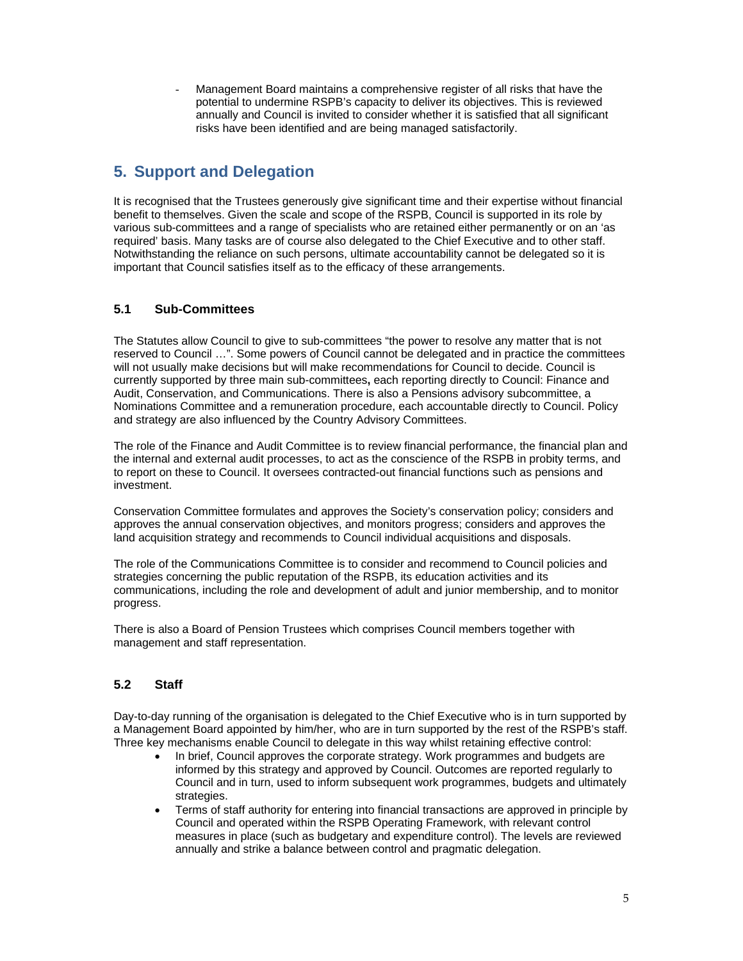Management Board maintains a comprehensive register of all risks that have the potential to undermine RSPB's capacity to deliver its objectives. This is reviewed annually and Council is invited to consider whether it is satisfied that all significant risks have been identified and are being managed satisfactorily.

# **5. Support and Delegation**

It is recognised that the Trustees generously give significant time and their expertise without financial benefit to themselves. Given the scale and scope of the RSPB, Council is supported in its role by various sub-committees and a range of specialists who are retained either permanently or on an 'as required' basis. Many tasks are of course also delegated to the Chief Executive and to other staff. Notwithstanding the reliance on such persons, ultimate accountability cannot be delegated so it is important that Council satisfies itself as to the efficacy of these arrangements.

## **5.1 Sub-Committees**

The Statutes allow Council to give to sub-committees "the power to resolve any matter that is not reserved to Council …". Some powers of Council cannot be delegated and in practice the committees will not usually make decisions but will make recommendations for Council to decide. Council is currently supported by three main sub-committees**,** each reporting directly to Council: Finance and Audit, Conservation, and Communications. There is also a Pensions advisory subcommittee, a Nominations Committee and a remuneration procedure, each accountable directly to Council. Policy and strategy are also influenced by the Country Advisory Committees.

The role of the Finance and Audit Committee is to review financial performance, the financial plan and the internal and external audit processes, to act as the conscience of the RSPB in probity terms, and to report on these to Council. It oversees contracted-out financial functions such as pensions and investment.

Conservation Committee formulates and approves the Society's conservation policy; considers and approves the annual conservation objectives, and monitors progress; considers and approves the land acquisition strategy and recommends to Council individual acquisitions and disposals.

The role of the Communications Committee is to consider and recommend to Council policies and strategies concerning the public reputation of the RSPB, its education activities and its communications, including the role and development of adult and junior membership, and to monitor progress.

There is also a Board of Pension Trustees which comprises Council members together with management and staff representation.

## **5.2 Staff**

Day-to-day running of the organisation is delegated to the Chief Executive who is in turn supported by a Management Board appointed by him/her, who are in turn supported by the rest of the RSPB's staff. Three key mechanisms enable Council to delegate in this way whilst retaining effective control:

- In brief, Council approves the corporate strategy. Work programmes and budgets are informed by this strategy and approved by Council. Outcomes are reported regularly to Council and in turn, used to inform subsequent work programmes, budgets and ultimately strategies.
- Terms of staff authority for entering into financial transactions are approved in principle by Council and operated within the RSPB Operating Framework, with relevant control measures in place (such as budgetary and expenditure control). The levels are reviewed annually and strike a balance between control and pragmatic delegation.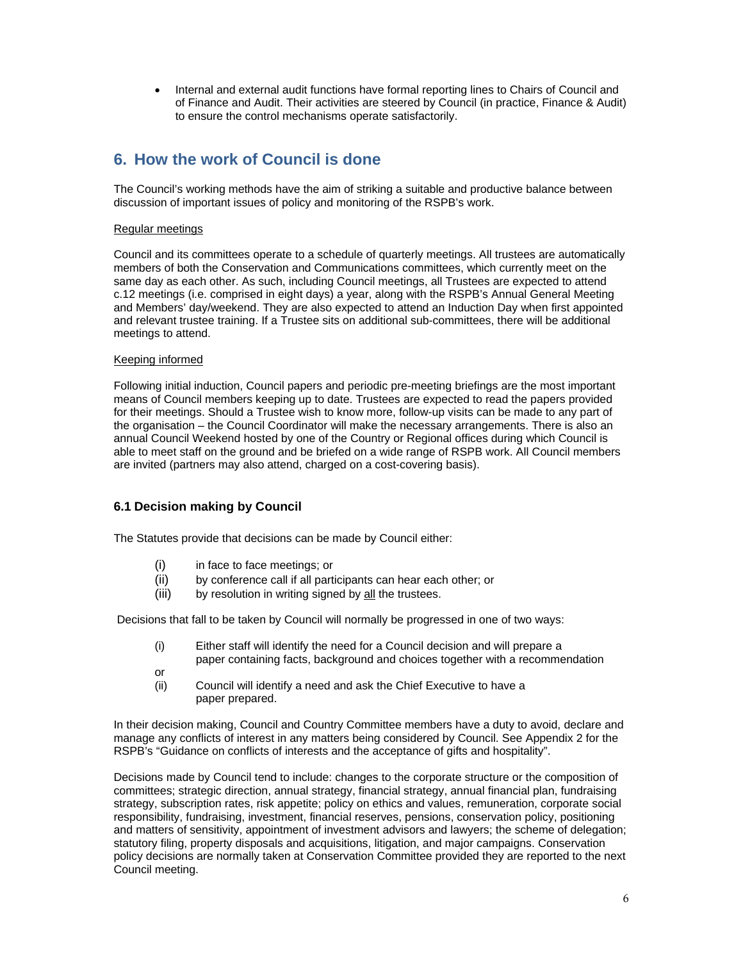Internal and external audit functions have formal reporting lines to Chairs of Council and of Finance and Audit. Their activities are steered by Council (in practice, Finance & Audit) to ensure the control mechanisms operate satisfactorily.

# **6. How the work of Council is done**

The Council's working methods have the aim of striking a suitable and productive balance between discussion of important issues of policy and monitoring of the RSPB's work.

## Regular meetings

Council and its committees operate to a schedule of quarterly meetings. All trustees are automatically members of both the Conservation and Communications committees, which currently meet on the same day as each other. As such, including Council meetings, all Trustees are expected to attend c.12 meetings (i.e. comprised in eight days) a year, along with the RSPB's Annual General Meeting and Members' day/weekend. They are also expected to attend an Induction Day when first appointed and relevant trustee training. If a Trustee sits on additional sub-committees, there will be additional meetings to attend.

## Keeping informed

Following initial induction, Council papers and periodic pre-meeting briefings are the most important means of Council members keeping up to date. Trustees are expected to read the papers provided for their meetings. Should a Trustee wish to know more, follow-up visits can be made to any part of the organisation – the Council Coordinator will make the necessary arrangements. There is also an annual Council Weekend hosted by one of the Country or Regional offices during which Council is able to meet staff on the ground and be briefed on a wide range of RSPB work. All Council members are invited (partners may also attend, charged on a cost-covering basis).

## **6.1 Decision making by Council**

The Statutes provide that decisions can be made by Council either:

- (i) in face to face meetings; or
- (ii) by conference call if all participants can hear each other; or
- (iii) by resolution in writing signed by all the trustees.

Decisions that fall to be taken by Council will normally be progressed in one of two ways:

- (i) Either staff will identify the need for a Council decision and will prepare a paper containing facts, background and choices together with a recommendation
- or
- (ii) Council will identify a need and ask the Chief Executive to have a paper prepared.

In their decision making, Council and Country Committee members have a duty to avoid, declare and manage any conflicts of interest in any matters being considered by Council. See Appendix 2 for the RSPB's "Guidance on conflicts of interests and the acceptance of gifts and hospitality".

Decisions made by Council tend to include: changes to the corporate structure or the composition of committees; strategic direction, annual strategy, financial strategy, annual financial plan, fundraising strategy, subscription rates, risk appetite; policy on ethics and values, remuneration, corporate social responsibility, fundraising, investment, financial reserves, pensions, conservation policy, positioning and matters of sensitivity, appointment of investment advisors and lawyers; the scheme of delegation; statutory filing, property disposals and acquisitions, litigation, and major campaigns. Conservation policy decisions are normally taken at Conservation Committee provided they are reported to the next Council meeting.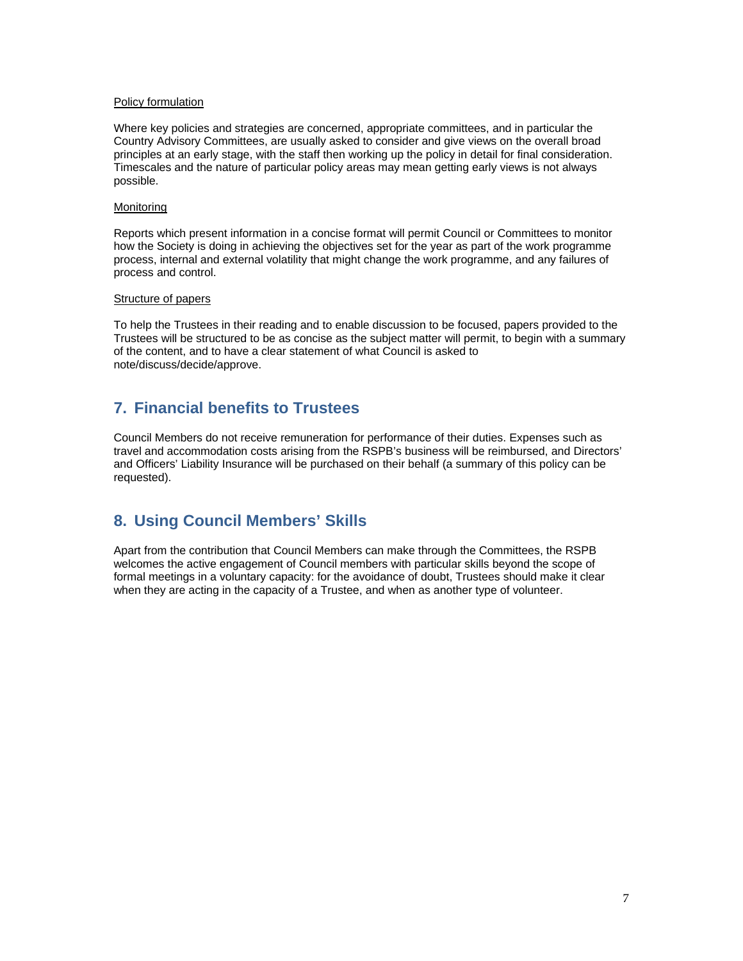#### Policy formulation

Where key policies and strategies are concerned, appropriate committees, and in particular the Country Advisory Committees, are usually asked to consider and give views on the overall broad principles at an early stage, with the staff then working up the policy in detail for final consideration. Timescales and the nature of particular policy areas may mean getting early views is not always possible.

#### **Monitoring**

Reports which present information in a concise format will permit Council or Committees to monitor how the Society is doing in achieving the objectives set for the year as part of the work programme process, internal and external volatility that might change the work programme, and any failures of process and control.

## Structure of papers

To help the Trustees in their reading and to enable discussion to be focused, papers provided to the Trustees will be structured to be as concise as the subject matter will permit, to begin with a summary of the content, and to have a clear statement of what Council is asked to note/discuss/decide/approve.

## **7. Financial benefits to Trustees**

Council Members do not receive remuneration for performance of their duties. Expenses such as travel and accommodation costs arising from the RSPB's business will be reimbursed, and Directors' and Officers' Liability Insurance will be purchased on their behalf (a summary of this policy can be requested).

## **8. Using Council Members' Skills**

Apart from the contribution that Council Members can make through the Committees, the RSPB welcomes the active engagement of Council members with particular skills beyond the scope of formal meetings in a voluntary capacity: for the avoidance of doubt, Trustees should make it clear when they are acting in the capacity of a Trustee, and when as another type of volunteer.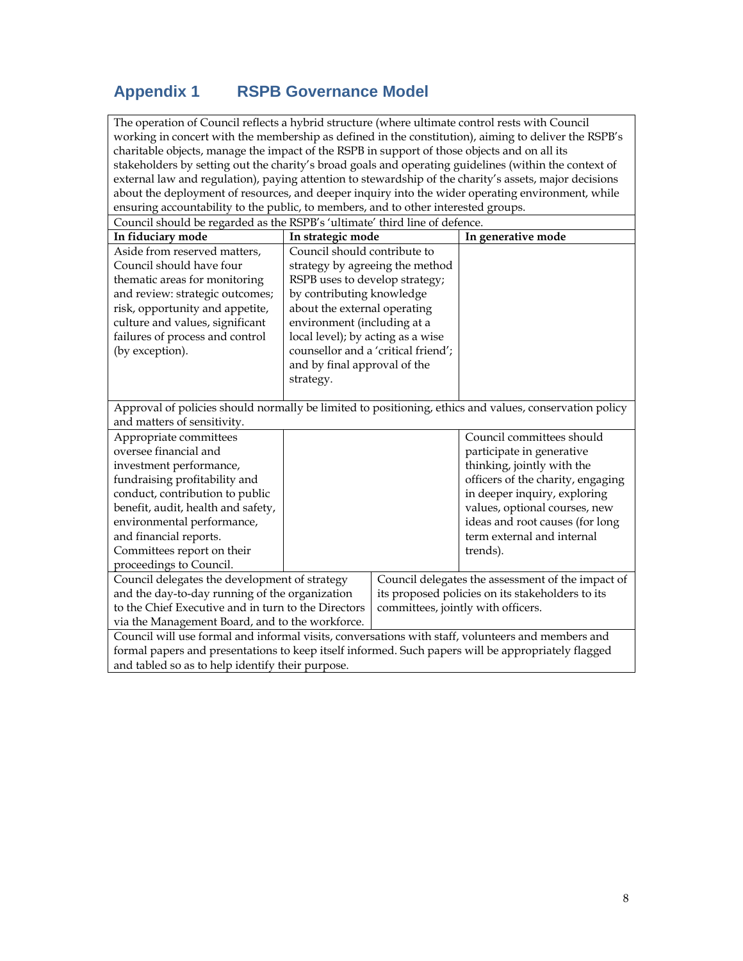# **Appendix 1 RSPB Governance Model**

The operation of Council reflects a hybrid structure (where ultimate control rests with Council working in concert with the membership as defined in the constitution), aiming to deliver the RSPB's charitable objects, manage the impact of the RSPB in support of those objects and on all its stakeholders by setting out the charity's broad goals and operating guidelines (within the context of external law and regulation), paying attention to stewardship of the charity's assets, major decisions about the deployment of resources, and deeper inquiry into the wider operating environment, while ensuring accountability to the public, to members, and to other interested groups.

| Council should be regarded as the RSPB's 'ultimate' third line of defence.                             |                                     |  |                                                   |  |  |  |  |
|--------------------------------------------------------------------------------------------------------|-------------------------------------|--|---------------------------------------------------|--|--|--|--|
| In fiduciary mode                                                                                      | In strategic mode                   |  | In generative mode                                |  |  |  |  |
| Aside from reserved matters,                                                                           | Council should contribute to        |  |                                                   |  |  |  |  |
| Council should have four                                                                               | strategy by agreeing the method     |  |                                                   |  |  |  |  |
| thematic areas for monitoring                                                                          | RSPB uses to develop strategy;      |  |                                                   |  |  |  |  |
| and review: strategic outcomes;                                                                        | by contributing knowledge           |  |                                                   |  |  |  |  |
| risk, opportunity and appetite,                                                                        | about the external operating        |  |                                                   |  |  |  |  |
| culture and values, significant                                                                        | environment (including at a         |  |                                                   |  |  |  |  |
| failures of process and control                                                                        | local level); by acting as a wise   |  |                                                   |  |  |  |  |
| (by exception).                                                                                        | counsellor and a 'critical friend'; |  |                                                   |  |  |  |  |
|                                                                                                        | and by final approval of the        |  |                                                   |  |  |  |  |
|                                                                                                        | strategy.                           |  |                                                   |  |  |  |  |
|                                                                                                        |                                     |  |                                                   |  |  |  |  |
| Approval of policies should normally be limited to positioning, ethics and values, conservation policy |                                     |  |                                                   |  |  |  |  |
| and matters of sensitivity.                                                                            |                                     |  |                                                   |  |  |  |  |
| Appropriate committees                                                                                 |                                     |  | Council committees should                         |  |  |  |  |
| oversee financial and                                                                                  |                                     |  | participate in generative                         |  |  |  |  |
| investment performance,                                                                                |                                     |  | thinking, jointly with the                        |  |  |  |  |
| fundraising profitability and                                                                          |                                     |  | officers of the charity, engaging                 |  |  |  |  |
| conduct, contribution to public                                                                        |                                     |  | in deeper inquiry, exploring                      |  |  |  |  |
| benefit, audit, health and safety,                                                                     |                                     |  | values, optional courses, new                     |  |  |  |  |
| environmental performance,                                                                             |                                     |  | ideas and root causes (for long                   |  |  |  |  |
| and financial reports.                                                                                 |                                     |  | term external and internal                        |  |  |  |  |
| Committees report on their                                                                             |                                     |  | trends).                                          |  |  |  |  |
| proceedings to Council.                                                                                |                                     |  |                                                   |  |  |  |  |
| Council delegates the development of strategy                                                          |                                     |  | Council delegates the assessment of the impact of |  |  |  |  |
| and the day-to-day running of the organization                                                         |                                     |  | its proposed policies on its stakeholders to its  |  |  |  |  |
| to the Chief Executive and in turn to the Directors                                                    |                                     |  | committees, jointly with officers.                |  |  |  |  |
| via the Management Board, and to the workforce.                                                        |                                     |  |                                                   |  |  |  |  |
| Council will use formal and informal visits, conversations with staff, volunteers and members and      |                                     |  |                                                   |  |  |  |  |
| formal papers and presentations to keep itself informed. Such papers will be appropriately flagged     |                                     |  |                                                   |  |  |  |  |
| and tabled so as to help identify their purpose.                                                       |                                     |  |                                                   |  |  |  |  |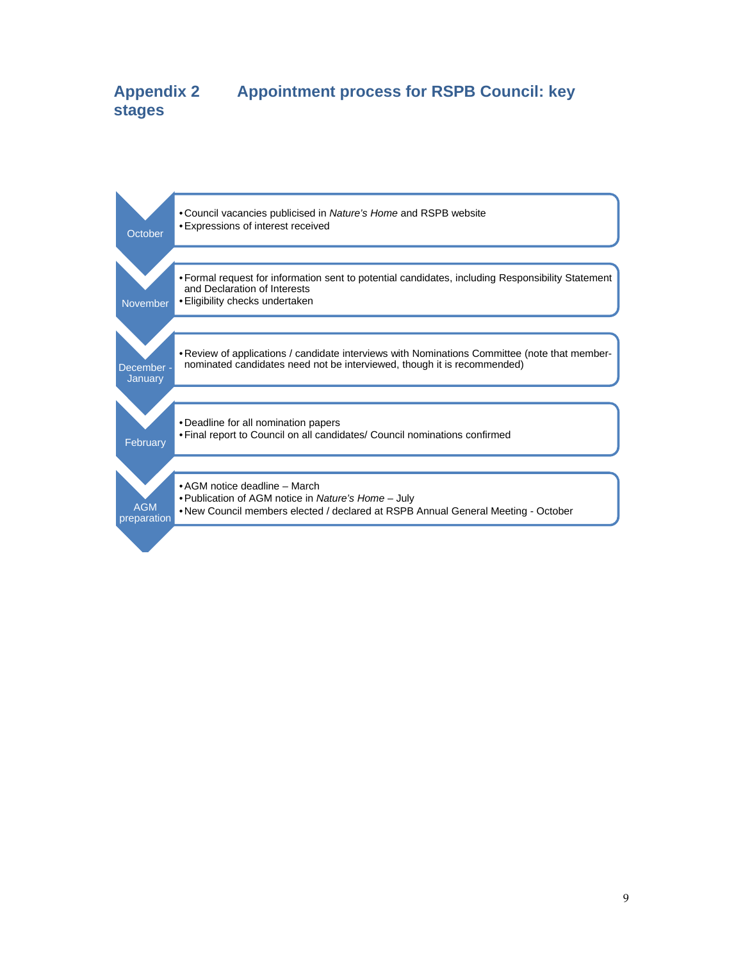# **Appendix 2 Appointment process for RSPB Council: key stages**

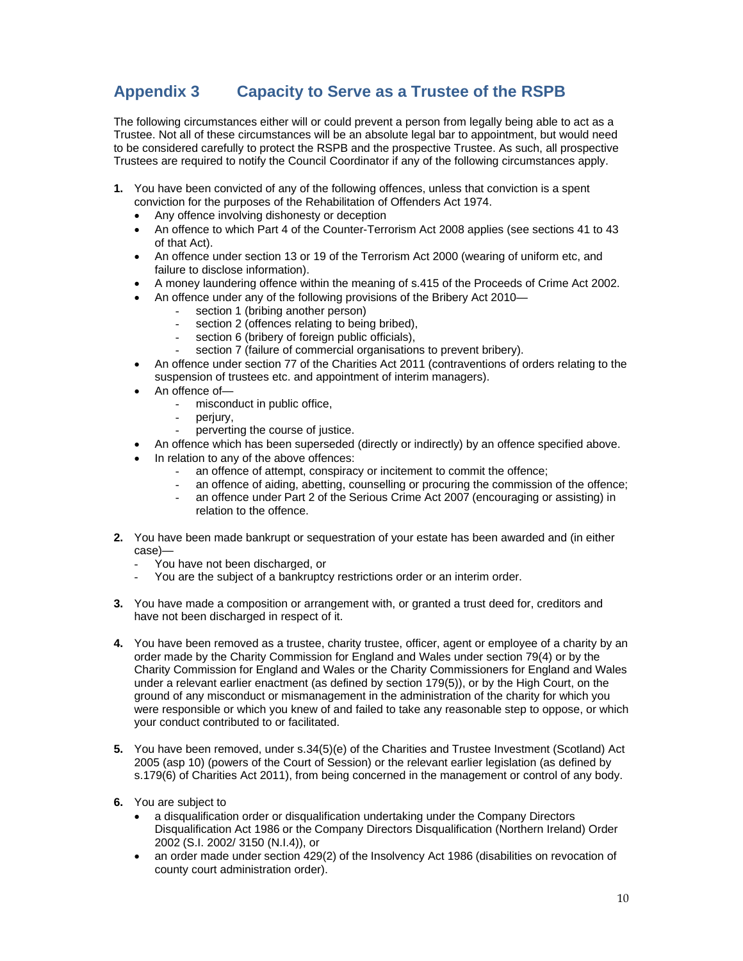# **Appendix 3 Capacity to Serve as a Trustee of the RSPB**

The following circumstances either will or could prevent a person from legally being able to act as a Trustee. Not all of these circumstances will be an absolute legal bar to appointment, but would need to be considered carefully to protect the RSPB and the prospective Trustee. As such, all prospective Trustees are required to notify the Council Coordinator if any of the following circumstances apply.

- **1.** You have been convicted of any of the following offences, unless that conviction is a spent conviction for the purposes of the Rehabilitation of Offenders Act 1974.
	- Any offence involving dishonesty or deception
	- An offence to which Part 4 of the Counter-Terrorism Act 2008 applies (see sections 41 to 43 of that Act).
	- An offence under section 13 or 19 of the Terrorism Act 2000 (wearing of uniform etc, and failure to disclose information).
	- A money laundering offence within the meaning of s.415 of the Proceeds of Crime Act 2002.
		- An offence under any of the following provisions of the Bribery Act 2010
			- section 1 (bribing another person)
			- section 2 (offences relating to being bribed).
			- section 6 (bribery of foreign public officials),
			- section 7 (failure of commercial organisations to prevent bribery).
	- An offence under section 77 of the Charities Act 2011 (contraventions of orders relating to the suspension of trustees etc. and appointment of interim managers).
	- An offence of
		- misconduct in public office.
		- periury.
		- perverting the course of justice.
	- An offence which has been superseded (directly or indirectly) by an offence specified above.
	- In relation to any of the above offences:
		- an offence of attempt, conspiracy or incitement to commit the offence:
		- an offence of aiding, abetting, counselling or procuring the commission of the offence;
		- an offence under Part 2 of the Serious Crime Act 2007 (encouraging or assisting) in relation to the offence.
- **2.** You have been made bankrupt or sequestration of your estate has been awarded and (in either case)—
	- You have not been discharged, or
	- You are the subject of a bankruptcy restrictions order or an interim order.
- **3.** You have made a composition or arrangement with, or granted a trust deed for, creditors and have not been discharged in respect of it.
- **4.** You have been removed as a trustee, charity trustee, officer, agent or employee of a charity by an order made by the Charity Commission for England and Wales under section 79(4) or by the Charity Commission for England and Wales or the Charity Commissioners for England and Wales under a relevant earlier enactment (as defined by section 179(5)), or by the High Court, on the ground of any misconduct or mismanagement in the administration of the charity for which you were responsible or which you knew of and failed to take any reasonable step to oppose, or which your conduct contributed to or facilitated.
- **5.** You have been removed, under s.34(5)(e) of the Charities and Trustee Investment (Scotland) Act 2005 (asp 10) (powers of the Court of Session) or the relevant earlier legislation (as defined by s.179(6) of Charities Act 2011), from being concerned in the management or control of any body.
- **6.** You are subject to
	- a disqualification order or disqualification undertaking under the Company Directors Disqualification Act 1986 or the Company Directors Disqualification (Northern Ireland) Order 2002 (S.I. 2002/ 3150 (N.I.4)), or
	- an order made under section 429(2) of the Insolvency Act 1986 (disabilities on revocation of county court administration order).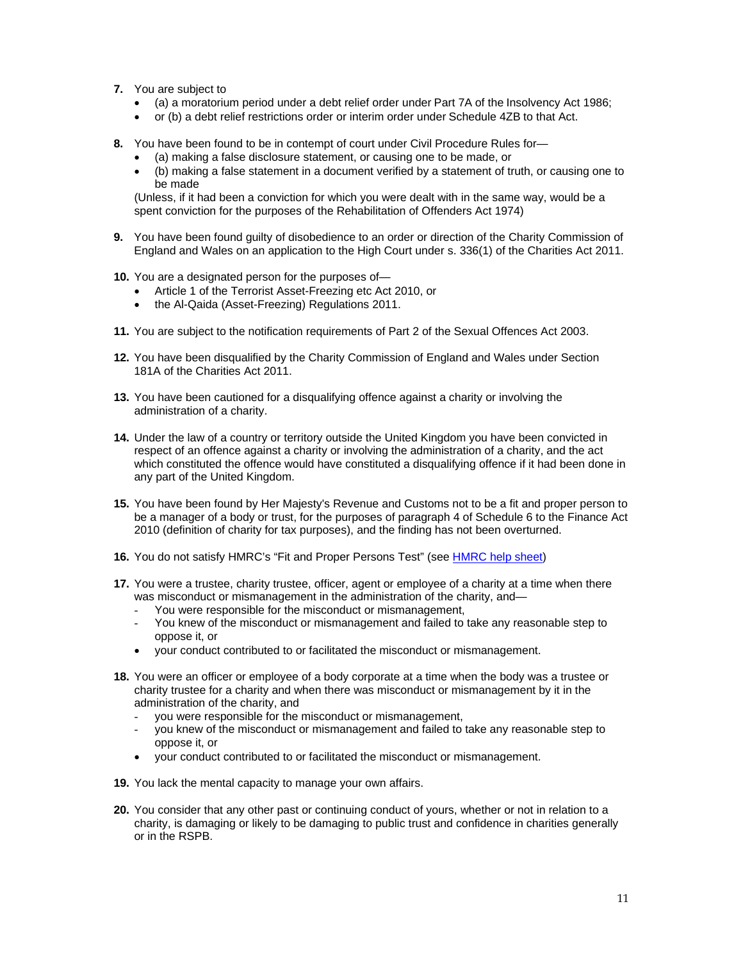- **7.** You are subject to
	- (a) a moratorium period under a debt relief order under Part 7A of the Insolvency Act 1986;
	- or (b) a debt relief restrictions order or interim order under Schedule 4ZB to that Act.
- **8.** You have been found to be in contempt of court under Civil Procedure Rules for—
	- (a) making a false disclosure statement, or causing one to be made, or
	- (b) making a false statement in a document verified by a statement of truth, or causing one to be made

(Unless, if it had been a conviction for which you were dealt with in the same way, would be a spent conviction for the purposes of the Rehabilitation of Offenders Act 1974)

- **9.** You have been found guilty of disobedience to an order or direction of the Charity Commission of England and Wales on an application to the High Court under s. 336(1) of the Charities Act 2011.
- **10.** You are a designated person for the purposes of—
	- Article 1 of the Terrorist Asset-Freezing etc Act 2010, or
	- the Al-Qaida (Asset-Freezing) Regulations 2011.
- **11.** You are subject to the notification requirements of Part 2 of the Sexual Offences Act 2003.
- **12.** You have been disqualified by the Charity Commission of England and Wales under Section 181A of the Charities Act 2011.
- **13.** You have been cautioned for a disqualifying offence against a charity or involving the administration of a charity.
- **14.** Under the law of a country or territory outside the United Kingdom you have been convicted in respect of an offence against a charity or involving the administration of a charity, and the act which constituted the offence would have constituted a disqualifying offence if it had been done in any part of the United Kingdom.
- **15.** You have been found by Her Majesty's Revenue and Customs not to be a fit and proper person to be a manager of a body or trust, for the purposes of paragraph 4 of Schedule 6 to the Finance Act 2010 (definition of charity for tax purposes), and the finding has not been overturned.
- **16.** You do not satisfy HMRC's "Fit and Proper Persons Test" (see HMRC help sheet)
- **17.** You were a trustee, charity trustee, officer, agent or employee of a charity at a time when there was misconduct or mismanagement in the administration of the charity, and-
	- You were responsible for the misconduct or mismanagement,
	- You knew of the misconduct or mismanagement and failed to take any reasonable step to oppose it, or
	- your conduct contributed to or facilitated the misconduct or mismanagement.
- **18.** You were an officer or employee of a body corporate at a time when the body was a trustee or charity trustee for a charity and when there was misconduct or mismanagement by it in the administration of the charity, and
	- you were responsible for the misconduct or mismanagement,
	- you knew of the misconduct or mismanagement and failed to take any reasonable step to oppose it, or
	- your conduct contributed to or facilitated the misconduct or mismanagement.
- **19.** You lack the mental capacity to manage your own affairs.
- **20.** You consider that any other past or continuing conduct of yours, whether or not in relation to a charity, is damaging or likely to be damaging to public trust and confidence in charities generally or in the RSPB.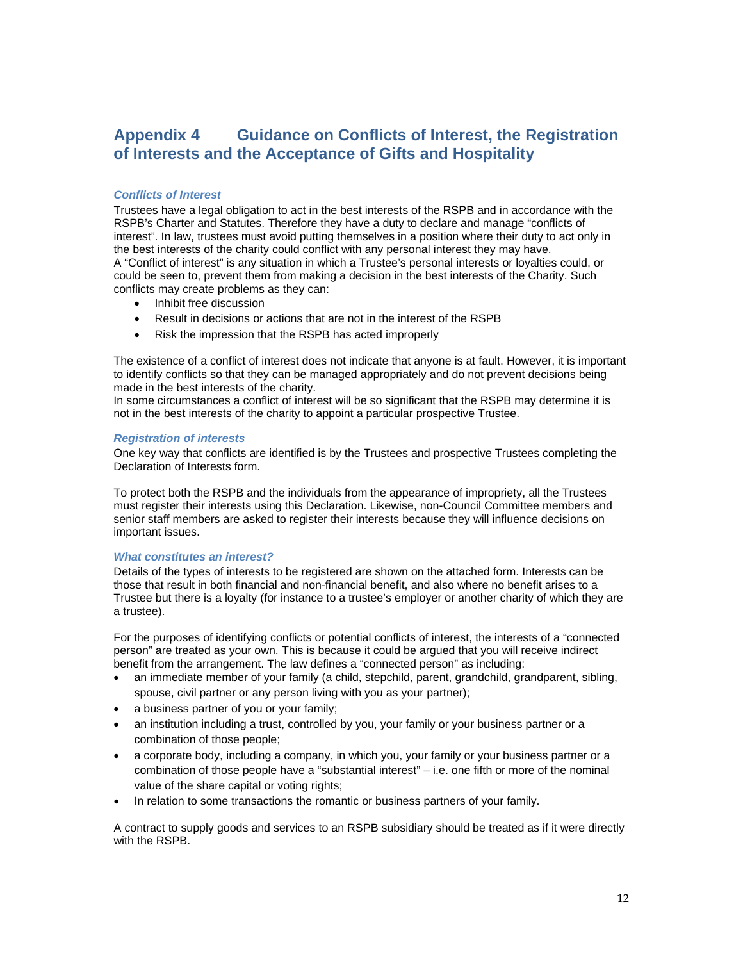# **Appendix 4 Guidance on Conflicts of Interest, the Registration of Interests and the Acceptance of Gifts and Hospitality**

## *Conflicts of Interest*

Trustees have a legal obligation to act in the best interests of the RSPB and in accordance with the RSPB's Charter and Statutes. Therefore they have a duty to declare and manage "conflicts of interest". In law, trustees must avoid putting themselves in a position where their duty to act only in the best interests of the charity could conflict with any personal interest they may have. A "Conflict of interest" is any situation in which a Trustee's personal interests or loyalties could, or could be seen to, prevent them from making a decision in the best interests of the Charity. Such conflicts may create problems as they can:

- Inhibit free discussion
- Result in decisions or actions that are not in the interest of the RSPB
- Risk the impression that the RSPB has acted improperly

The existence of a conflict of interest does not indicate that anyone is at fault. However, it is important to identify conflicts so that they can be managed appropriately and do not prevent decisions being made in the best interests of the charity.

In some circumstances a conflict of interest will be so significant that the RSPB may determine it is not in the best interests of the charity to appoint a particular prospective Trustee.

#### *Registration of interests*

One key way that conflicts are identified is by the Trustees and prospective Trustees completing the Declaration of Interests form.

To protect both the RSPB and the individuals from the appearance of impropriety, all the Trustees must register their interests using this Declaration. Likewise, non-Council Committee members and senior staff members are asked to register their interests because they will influence decisions on important issues.

## *What constitutes an interest?*

Details of the types of interests to be registered are shown on the attached form. Interests can be those that result in both financial and non-financial benefit, and also where no benefit arises to a Trustee but there is a loyalty (for instance to a trustee's employer or another charity of which they are a trustee).

For the purposes of identifying conflicts or potential conflicts of interest, the interests of a "connected person" are treated as your own. This is because it could be argued that you will receive indirect benefit from the arrangement. The law defines a "connected person" as including:

- an immediate member of your family (a child, stepchild, parent, grandchild, grandparent, sibling, spouse, civil partner or any person living with you as your partner);
- a business partner of you or your family;
- an institution including a trust, controlled by you, your family or your business partner or a combination of those people;
- a corporate body, including a company, in which you, your family or your business partner or a combination of those people have a "substantial interest" – i.e. one fifth or more of the nominal value of the share capital or voting rights;
- In relation to some transactions the romantic or business partners of your family.

A contract to supply goods and services to an RSPB subsidiary should be treated as if it were directly with the RSPB.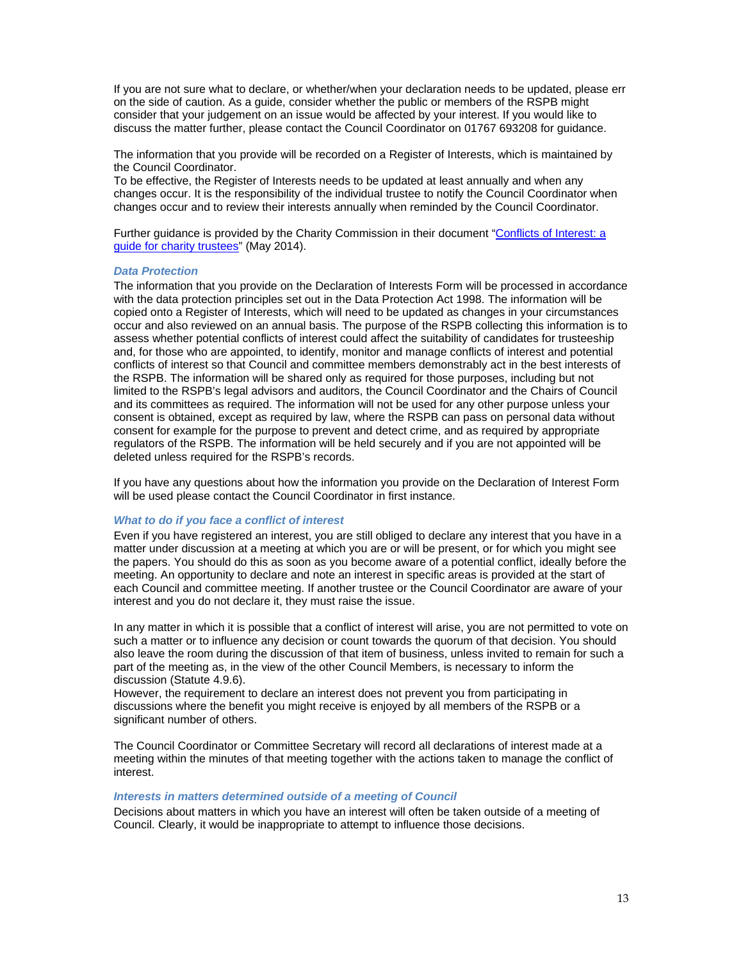If you are not sure what to declare, or whether/when your declaration needs to be updated, please err on the side of caution. As a guide, consider whether the public or members of the RSPB might consider that your judgement on an issue would be affected by your interest. If you would like to discuss the matter further, please contact the Council Coordinator on 01767 693208 for guidance.

The information that you provide will be recorded on a Register of Interests, which is maintained by the Council Coordinator.

To be effective, the Register of Interests needs to be updated at least annually and when any changes occur. It is the responsibility of the individual trustee to notify the Council Coordinator when changes occur and to review their interests annually when reminded by the Council Coordinator.

Further guidance is provided by the Charity Commission in their document "Conflicts of Interest: a guide for charity trustees" (May 2014).

#### *Data Protection*

The information that you provide on the Declaration of Interests Form will be processed in accordance with the data protection principles set out in the Data Protection Act 1998. The information will be copied onto a Register of Interests, which will need to be updated as changes in your circumstances occur and also reviewed on an annual basis. The purpose of the RSPB collecting this information is to assess whether potential conflicts of interest could affect the suitability of candidates for trusteeship and, for those who are appointed, to identify, monitor and manage conflicts of interest and potential conflicts of interest so that Council and committee members demonstrably act in the best interests of the RSPB. The information will be shared only as required for those purposes, including but not limited to the RSPB's legal advisors and auditors, the Council Coordinator and the Chairs of Council and its committees as required. The information will not be used for any other purpose unless your consent is obtained, except as required by law, where the RSPB can pass on personal data without consent for example for the purpose to prevent and detect crime, and as required by appropriate regulators of the RSPB. The information will be held securely and if you are not appointed will be deleted unless required for the RSPB's records.

If you have any questions about how the information you provide on the Declaration of Interest Form will be used please contact the Council Coordinator in first instance.

## *What to do if you face a conflict of interest*

Even if you have registered an interest, you are still obliged to declare any interest that you have in a matter under discussion at a meeting at which you are or will be present, or for which you might see the papers. You should do this as soon as you become aware of a potential conflict, ideally before the meeting. An opportunity to declare and note an interest in specific areas is provided at the start of each Council and committee meeting. If another trustee or the Council Coordinator are aware of your interest and you do not declare it, they must raise the issue.

In any matter in which it is possible that a conflict of interest will arise, you are not permitted to vote on such a matter or to influence any decision or count towards the quorum of that decision. You should also leave the room during the discussion of that item of business, unless invited to remain for such a part of the meeting as, in the view of the other Council Members, is necessary to inform the discussion (Statute 4.9.6).

However, the requirement to declare an interest does not prevent you from participating in discussions where the benefit you might receive is enjoyed by all members of the RSPB or a significant number of others.

The Council Coordinator or Committee Secretary will record all declarations of interest made at a meeting within the minutes of that meeting together with the actions taken to manage the conflict of interest.

#### *Interests in matters determined outside of a meeting of Council*

Decisions about matters in which you have an interest will often be taken outside of a meeting of Council. Clearly, it would be inappropriate to attempt to influence those decisions.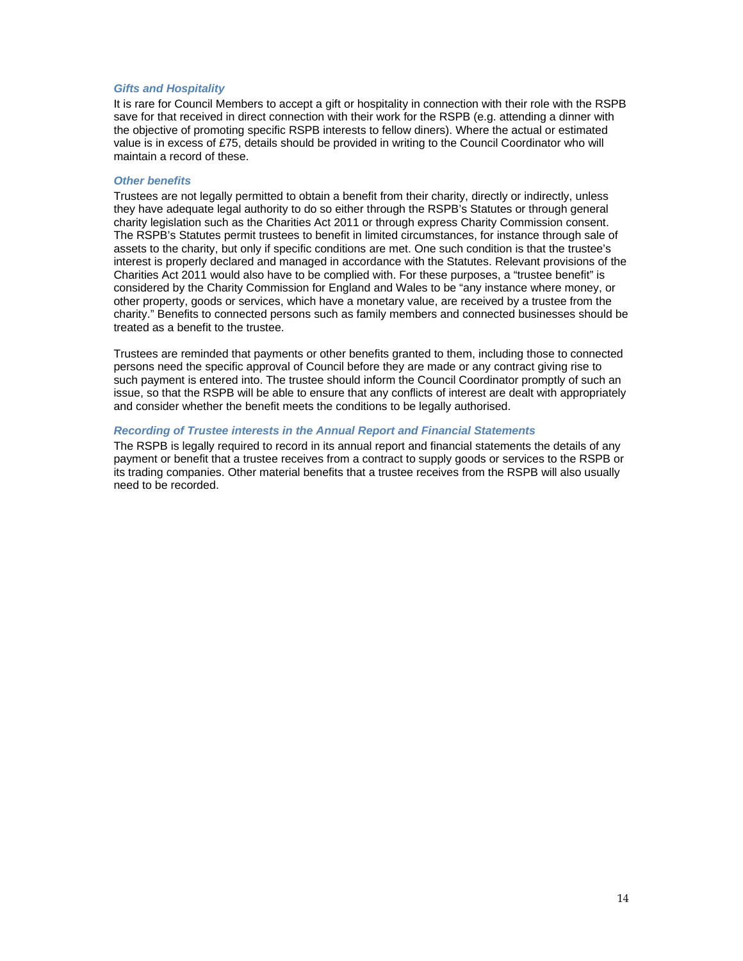## *Gifts and Hospitality*

It is rare for Council Members to accept a gift or hospitality in connection with their role with the RSPB save for that received in direct connection with their work for the RSPB (e.g. attending a dinner with the objective of promoting specific RSPB interests to fellow diners). Where the actual or estimated value is in excess of £75, details should be provided in writing to the Council Coordinator who will maintain a record of these.

#### *Other benefits*

Trustees are not legally permitted to obtain a benefit from their charity, directly or indirectly, unless they have adequate legal authority to do so either through the RSPB's Statutes or through general charity legislation such as the Charities Act 2011 or through express Charity Commission consent. The RSPB's Statutes permit trustees to benefit in limited circumstances, for instance through sale of assets to the charity, but only if specific conditions are met. One such condition is that the trustee's interest is properly declared and managed in accordance with the Statutes. Relevant provisions of the Charities Act 2011 would also have to be complied with. For these purposes, a "trustee benefit" is considered by the Charity Commission for England and Wales to be "any instance where money, or other property, goods or services, which have a monetary value, are received by a trustee from the charity." Benefits to connected persons such as family members and connected businesses should be treated as a benefit to the trustee.

Trustees are reminded that payments or other benefits granted to them, including those to connected persons need the specific approval of Council before they are made or any contract giving rise to such payment is entered into. The trustee should inform the Council Coordinator promptly of such an issue, so that the RSPB will be able to ensure that any conflicts of interest are dealt with appropriately and consider whether the benefit meets the conditions to be legally authorised.

#### *Recording of Trustee interests in the Annual Report and Financial Statements*

The RSPB is legally required to record in its annual report and financial statements the details of any payment or benefit that a trustee receives from a contract to supply goods or services to the RSPB or its trading companies. Other material benefits that a trustee receives from the RSPB will also usually need to be recorded.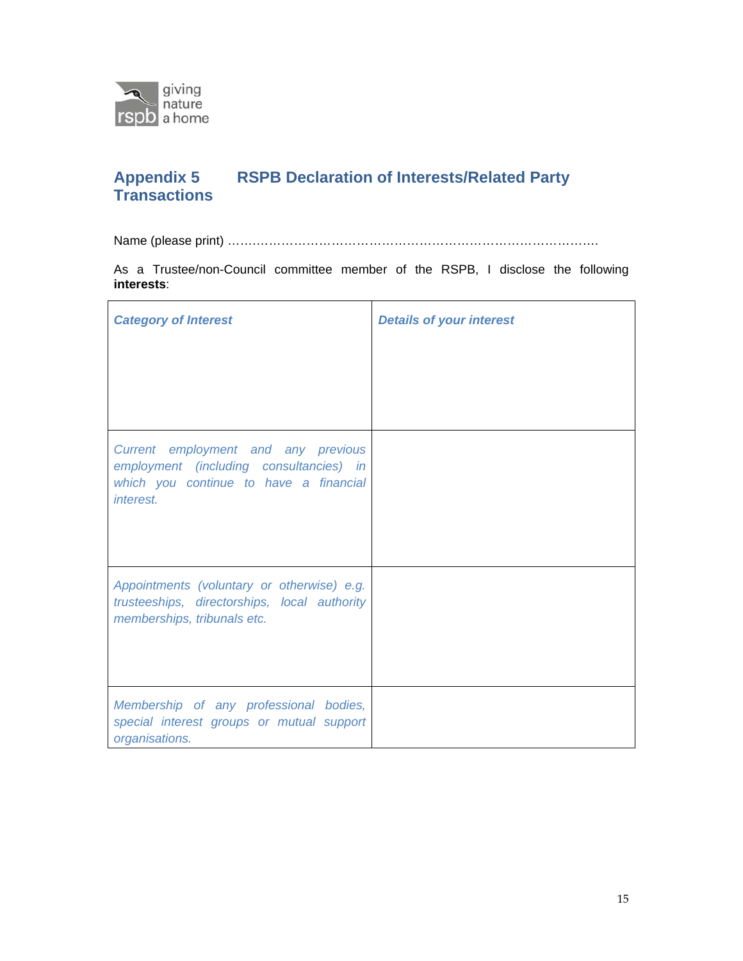

# **RSPB Declaration of Interests/Related Party** Appendix 5<br>Transactions

Name (please print) …….……………………………………………………………………….

As a Trustee/non-Council committee member of the RSPB, I disclose the following **interests**:

| <b>Category of Interest</b>                                                                                                           | <b>Details of your interest</b> |
|---------------------------------------------------------------------------------------------------------------------------------------|---------------------------------|
| Current employment and any previous<br>employment (including consultancies) in<br>which you continue to have a financial<br>interest. |                                 |
| Appointments (voluntary or otherwise) e.g.<br>trusteeships, directorships, local authority<br>memberships, tribunals etc.             |                                 |
| Membership of any professional bodies,<br>special interest groups or mutual support<br>organisations.                                 |                                 |